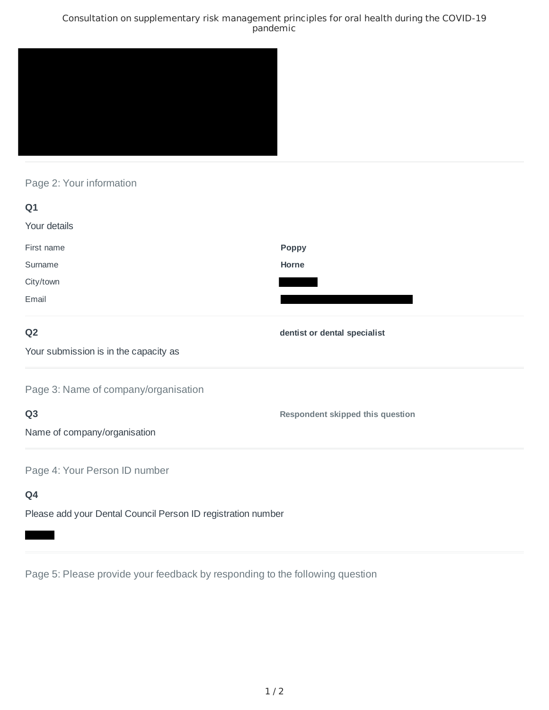### Consultation on supplementary risk management principles for oral health during the COVID-19 pandemic



# Page 2: Your information

| Q1                                                           |                                         |
|--------------------------------------------------------------|-----------------------------------------|
| Your details                                                 |                                         |
| First name                                                   | Poppy                                   |
| Surname                                                      | Horne                                   |
| City/town                                                    |                                         |
| Email                                                        |                                         |
| Q <sub>2</sub>                                               | dentist or dental specialist            |
| Your submission is in the capacity as                        |                                         |
| Page 3: Name of company/organisation                         |                                         |
| Q <sub>3</sub>                                               | <b>Respondent skipped this question</b> |
| Name of company/organisation                                 |                                         |
| Page 4: Your Person ID number                                |                                         |
| Q4                                                           |                                         |
| Please add your Dental Council Person ID registration number |                                         |

Page 5: Please provide your feedback by responding to the following question